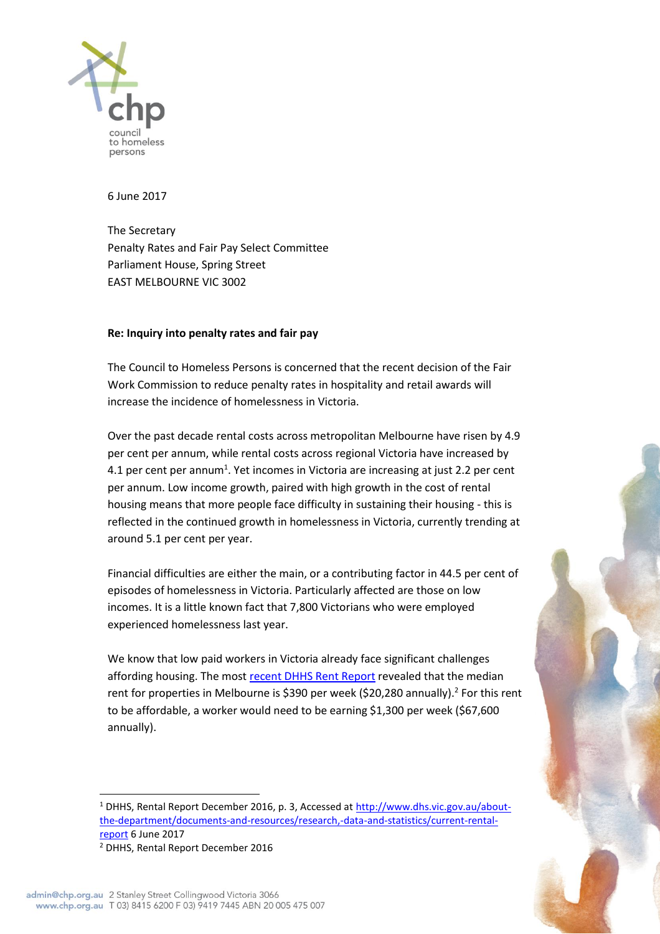

6 June 2017

The Secretary Penalty Rates and Fair Pay Select Committee Parliament House, Spring Street EAST MELBOURNE VIC 3002

## **Re: Inquiry into penalty rates and fair pay**

The Council to Homeless Persons is concerned that the recent decision of the Fair Work Commission to reduce penalty rates in hospitality and retail awards will increase the incidence of homelessness in Victoria.

Over the past decade rental costs across metropolitan Melbourne have risen by 4.9 per cent per annum, while rental costs across regional Victoria have increased by 4.1 per cent per annum<sup>1</sup>. Yet incomes in Victoria are increasing at just 2.2 per cent per annum. Low income growth, paired with high growth in the cost of rental housing means that more people face difficulty in sustaining their housing - this is reflected in the continued growth in homelessness in Victoria, currently trending at around 5.1 per cent per year.

Financial difficulties are either the main, or a contributing factor in 44.5 per cent of episodes of homelessness in Victoria. Particularly affected are those on low incomes. It is a little known fact that 7,800 Victorians who were employed experienced homelessness last year.

We know that low paid workers in Victoria already face significant challenges affording housing. The most [recent DHHS Rent Report](http://www.dhs.vic.gov.au/about-the-department/documents-and-resources/research,-data-and-statistics/current-rental-report) revealed that the median rent for properties in Melbourne is \$390 per week (\$20,280 annually).<sup>2</sup> For this rent to be affordable, a worker would need to be earning \$1,300 per week (\$67,600 annually).

 $\overline{a}$ 

<sup>&</sup>lt;sup>1</sup> DHHS, Rental Report December 2016, p. 3, Accessed at [http://www.dhs.vic.gov.au/about](http://www.dhs.vic.gov.au/about-the-department/documents-and-resources/research,-data-and-statistics/current-rental-report)[the-department/documents-and-resources/research,-data-and-statistics/current-rental](http://www.dhs.vic.gov.au/about-the-department/documents-and-resources/research,-data-and-statistics/current-rental-report)[report](http://www.dhs.vic.gov.au/about-the-department/documents-and-resources/research,-data-and-statistics/current-rental-report) 6 June 2017

<sup>2</sup> DHHS, Rental Report December 2016